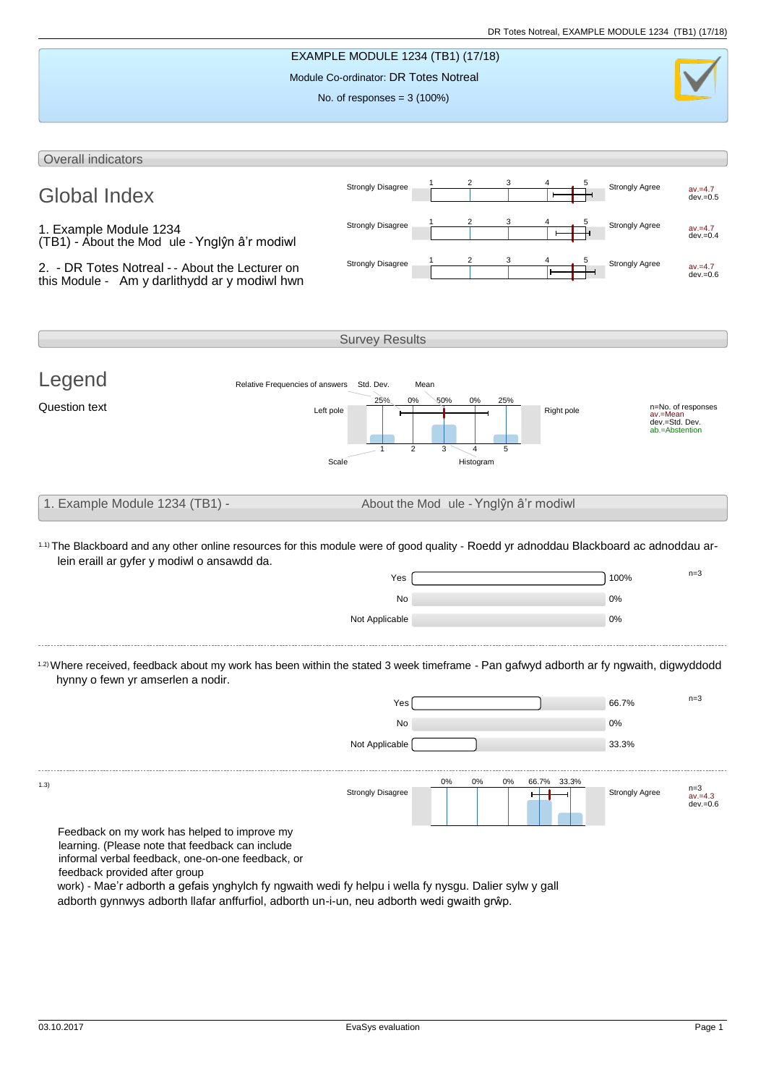

adborth gynnwys adborth llafar anffurfiol, adborth un-i-un, neu adborth wedi gwaith grŵp.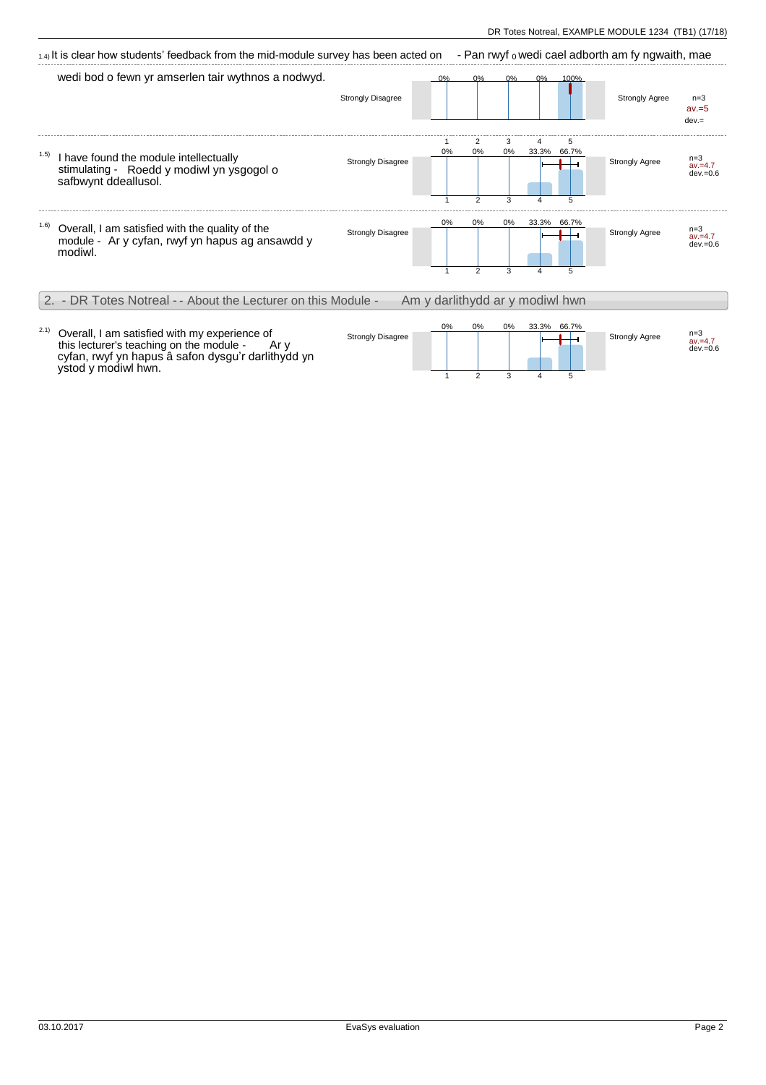|       | $_{1.4}$ It is clear how students' feedback from the mid-module survey has been acted on                      |                          |                                 |                           |              |            |                 | - Pan rwyf o wedi cael adborth am fy ngwaith, mae |                                    |
|-------|---------------------------------------------------------------------------------------------------------------|--------------------------|---------------------------------|---------------------------|--------------|------------|-----------------|---------------------------------------------------|------------------------------------|
|       | wedi bod o fewn yr amserlen tair wythnos a nodwyd.                                                            | <b>Strongly Disagree</b> |                                 | ሰ%                        | ሰ%           | በ%         | 100%            | <b>Strongly Agree</b>                             | $n=3$<br>$av = 5$<br>$dev =$       |
| (1.5) | I have found the module intellectually<br>stimulating - Roedd y modiwl yn ysgogol o<br>safbwynt ddeallusol.   | <b>Strongly Disagree</b> | 0%                              | 2<br>0%<br>$\overline{2}$ | 3<br>0%<br>3 | 4<br>33.3% | 5<br>66.7%<br>5 | <b>Strongly Agree</b>                             | $n=3$<br>$av = 4.7$<br>$dev = 0.6$ |
| 1.6)  | Overall, I am satisfied with the quality of the<br>module - Ar y cyfan, rwyf yn hapus ag ansawdd y<br>modiwl. | <b>Strongly Disagree</b> | 0%                              | 0%<br>$\mathcal{P}$       | 0%<br>3      | 33.3%      | 66.7%<br>5      | <b>Strongly Agree</b>                             | $n=3$<br>$av = 4.7$<br>$dev = 0.6$ |
|       | 2. - DR Totes Notreal - - About the Lecturer on this Module -                                                 |                          | Am y darlithydd ar y modiwl hwn |                           |              |            |                 |                                                   |                                    |
|       | Overall, I am satisfied with my experience of                                                                 | <b>Strongly Disagree</b> | 0%                              | $0\%$                     | $0\%$        | 33.3%      | 66.7%           | <b>Strongly Agree</b>                             | $n=3$<br>$2V - 47$                 |

1

2

3

4

5

this lecturer's teaching on the module - Ar y cyfan, rwyf yn hapus â safon dysgu'r darlithydd yn

ystod y modiwl hwn.

av.=4.7 dev.=0.6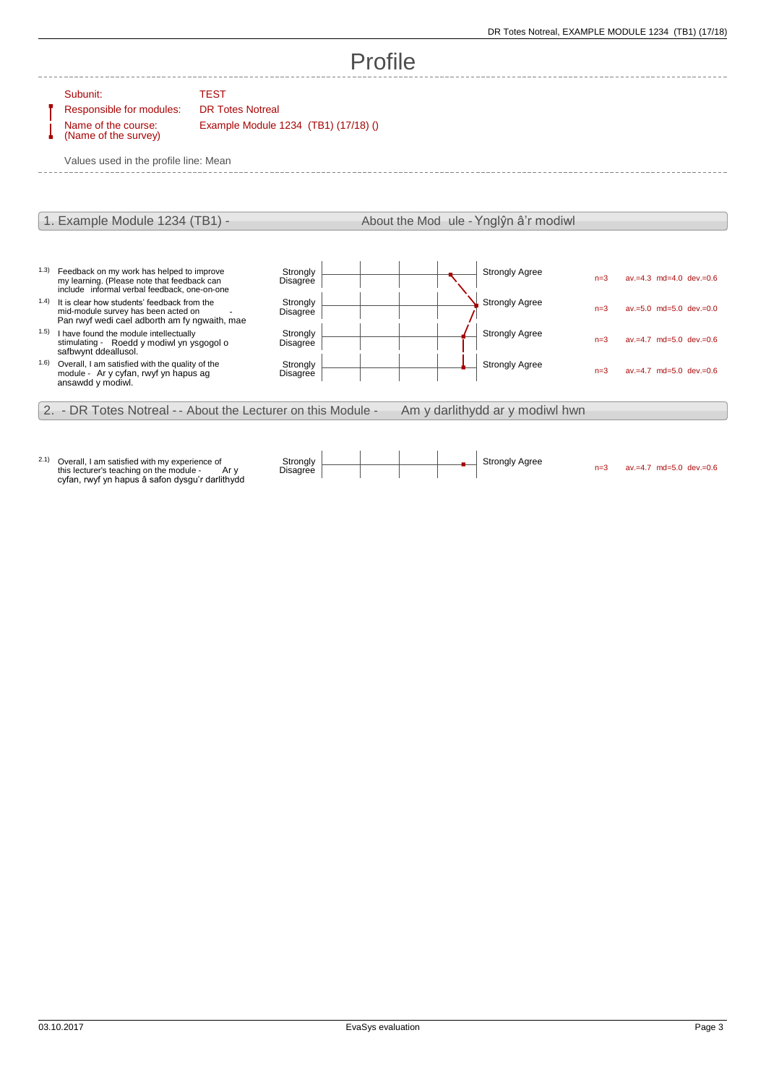## Profile

Subunit: TEST

Responsible for modules: DR Totes Notreal Name of the course: (Name of the survey)

Example Module 1234 (TB1) (17/18) ()

Values used in the profile line: Mean



2.1) Overall, I am satisfied with my experience of this lecturer's teaching on the module - Ar y cyfan, rwyf yn hapus â safon dysgu'r darlithydd

Strongly Agree n=3 av.=4.7 md=5.0 dev.=0.6